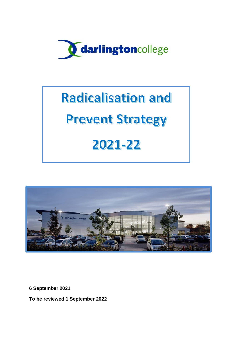

# **Radicalisation and**

## **Prevent Strategy**

## 2021-22



**6 September 2021**

**To be reviewed 1 September 2022**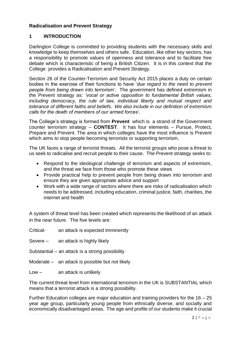## **Radicalisation and Prevent Strategy**

#### **1 INTRODUCTION**

Darlington College is committed to providing students with the necessary skills and knowledge to keep themselves and others safe. Education, like other key sectors, has a responsibility to promote values of openness and tolerance and to facilitate free debate which is characteristic of being a British Citizen. It is in this context that the College provides a Radicalisation and Prevent Strategy.

Section 26 of the Counter-Terrorism and Security Act 2015 places a duty on certain bodies in the exercise of their functions to have '*due regard to the need to prevent people from being drawn into terrorism'.* The government has defined extremism in the Prevent strategy as: *'vocal or active opposition to fundamental British values, including democracy, the rule of law, individual liberty and mutual respect and tolerance of different faiths and beliefs. We also include in our definition of extremism calls for the death of members of our armed forces'.*

The College's strategy is formed from **Prevent** which is a strand of the Government counter terrorism strategy – **CONTEST**. It has four elements – Pursue, Protect, Prepare and Prevent. The area in which colleges have the most influence is Prevent which aims to stop people becoming terrorists or supporting terrorism.

The UK faces a range of terrorist threats. All the terrorist groups who pose a threat to us seek to radicalise and recruit people to their cause. The Prevent strategy seeks to:

- Respond to the ideological challenge of terrorism and aspects of extremism, and the threat we face from those who promote these views
- Provide practical help to prevent people from being drawn into terrorism and ensure they are given appropriate advice and support
- Work with a wide range of sectors where there are risks of radicalisation which needs to be addressed, including education, criminal justice, faith, charities, the internet and health

A system of threat level has been created which represents the likelihood of an attack in the near future. The five levels are:

Critical- an attack is expected imminently

Severe – an attack is highly likely

- Substantial an attack is a strong possibility
- Moderate an attack is possible but not likely

Low – an attack is unlikely

The current threat level from international terrorism in the UK is SUBSTANTIAL which means that a terrorist attack is a strong possibility.

Further Education colleges are major education and training providers for the 16 – 25 year age group, particularly young people from ethnically diverse, and socially and economically disadvantaged areas. The age and profile of our students make it crucial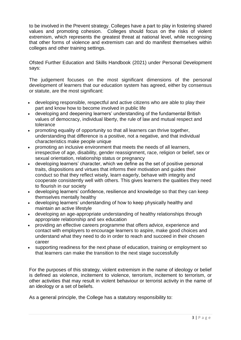to be involved in the Prevent strategy. Colleges have a part to play in fostering shared values and promoting cohesion. Colleges should focus on the risks of violent extremism, which represents the greatest threat at national level, while recognising that other forms of violence and extremism can and do manifest themselves within colleges and other training settings.

Ofsted Further Education and Skills Handbook (2021) under Personal Development says:

The judgement focuses on the most significant dimensions of the personal development of learners that our education system has agreed, either by consensus or statute, are the most significant:

- developing responsible, respectful and active citizens who are able to play their part and know how to become involved in public life
- developing and deepening learners' understanding of the fundamental British values of democracy, individual liberty, the rule of law and mutual respect and tolerance
- promoting equality of opportunity so that all learners can thrive together, understanding that difference is a positive, not a negative, and that individual characteristics make people unique
- promoting an inclusive environment that meets the needs of all learners, irrespective of age, disability, gender reassignment, race, religion or belief, sex or sexual orientation, relationship status or pregnancy
- developing learners' character, which we define as the set of positive personal traits, dispositions and virtues that informs their motivation and guides their conduct so that they reflect wisely, learn eagerly, behave with integrity and cooperate consistently well with others. This gives learners the qualities they need to flourish in our society
- developing learners' confidence, resilience and knowledge so that they can keep themselves mentally healthy
- developing learners' understanding of how to keep physically healthy and maintain an active lifestyle
- developing an age-appropriate understanding of healthy relationships through appropriate relationship and sex education
- providing an effective careers programme that offers advice, experience and contact with employers to encourage learners to aspire, make good choices and understand what they need to do in order to reach and succeed in their chosen career
- supporting readiness for the next phase of education, training or employment so that learners can make the transition to the next stage successfully

For the purposes of this strategy, violent extremism in the name of ideology or belief is defined as violence, incitement to violence, terrorism, incitement to terrorism, or other activities that may result in violent behaviour or terrorist activity in the name of an ideology or a set of beliefs.

As a general principle, the College has a statutory responsibility to: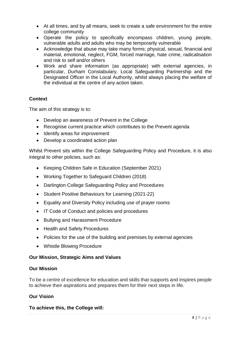- At all times, and by all means, seek to create a safe environment for the entire college community
- Operate the policy to specifically encompass children, young people, vulnerable adults and adults who may be temporarily vulnerable
- Acknowledge that abuse may take many forms; physical, sexual, financial and material, emotional, neglect, FGM, forced marriage, hate crime, radicalisation and risk to self and/or others
- Work and share information (as appropriate) with external agencies, in particular, Durham Constabulary, Local Safeguarding Partnership and the Designated Officer in the Local Authority, whilst always placing the welfare of the individual at the centre of any action taken.

## **Context**

The aim of this strategy is to:

- Develop an awareness of Prevent in the College
- Recognise current practice which contributes to the Prevent agenda
- Identify areas for improvement
- Develop a coordinated action plan

Whilst Prevent sits within the College Safeguarding Policy and Procedure, it is also integral to other policies, such as:

- Keeping Children Safe in Education (September 2021)
- Working Together to Safeguard Children (2018)
- Darlington College Safeguarding Policy and Procedures
- Student Positive Behaviours for Learning (2021-22)
- Equality and Diversity Policy including use of prayer rooms
- IT Code of Conduct and policies and procedures
- Bullying and Harassment Procedure
- Health and Safety Procedures
- Policies for the use of the building and premises by external agencies
- Whistle Blowing Procedure

## **Our Mission, Strategic Aims and Values**

#### **Our Mission**

To be a centre of excellence for education and skills that supports and inspires people to achieve their aspirations and prepares them for their next steps in life.

## **Our Vision**

#### **To achieve this, the College will:**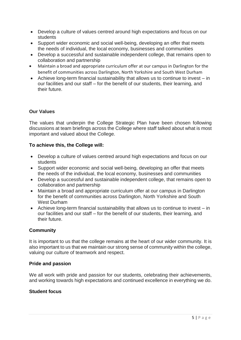- Develop a culture of values centred around high expectations and focus on our students
- Support wider economic and social well-being, developing an offer that meets the needs of individual, the local economy, businesses and communities
- Develop a successful and sustainable independent college, that remains open to collaboration and partnership
- Maintain a broad and appropriate curriculum offer at our campus in Darlington for the benefit of communities across Darlington, North Yorkshire and South West Durham
- Achieve long-term financial sustainability that allows us to continue to invest in our facilities and our staff – for the benefit of our students, their learning, and their future.

## **Our Values**

The values that underpin the College Strategic Plan have been chosen following discussions at team briefings across the College where staff talked about what is most important and valued about the College.

## **To achieve this, the College will:**

- Develop a culture of values centred around high expectations and focus on our students
- Support wider economic and social well-being, developing an offer that meets the needs of the individual, the local economy, businesses and communities
- Develop a successful and sustainable independent college, that remains open to collaboration and partnership
- Maintain a broad and appropriate curriculum offer at our campus in Darlington for the benefit of communities across Darlington, North Yorkshire and South West Durham
- Achieve long-term financial sustainability that allows us to continue to invest in our facilities and our staff – for the benefit of our students, their learning, and their future.

## **Community**

It is important to us that the college remains at the heart of our wider community. It is also important to us that we maintain our strong sense of community within the college, valuing our culture of teamwork and respect.

#### **Pride and passion**

We all work with pride and passion for our students, celebrating their achievements, and working towards high expectations and continued excellence in everything we do.

#### **Student focus**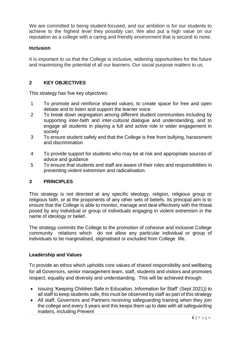We are committed to being student-focused, and our ambition is for our students to achieve to the highest level they possibly can. We also put a high value on our reputation as a college with a caring and friendly environment that is second to none.

## **Inclusion**

It is important to us that the College is inclusive, widening opportunities for the future and maximising the potential of all our learners. Our social purpose matters to us.

## **2 KEY OBJECTIVES**

This strategy has five key objectives:

- 1 To promote and reinforce shared values; to create space for free and open debate and to listen and support the learner voice
- 2 To break down segregation among different student communities including by supporting inter-faith and inter-cultural dialogue and understanding, and to engage all students in playing a full and active role in wider engagement in society
- 3 To ensure student safety and that the College is free from bullying, harassment and discrimination
- 4 To provide support for students who may be at risk and appropriate sources of advice and guidance
- 5 To ensure that students and staff are aware of their roles and responsibilities in preventing violent extremism and radicalisation.

## **3 PRINCIPLES**

This strategy is not directed at any specific ideology, religion, religious group or religious faith, or at the proponents of any other sets of beliefs. Its principal aim is to ensure that the College is able to monitor, manage and deal effectively with the threat posed by any individual or group of individuals engaging in violent extremism in the name of ideology or belief.

The strategy commits the College to the promotion of cohesive and inclusive College community relations which do not allow any particular individual or group of individuals to be marginalised, stigmatised or excluded from College life.

#### **Leadership and Values**

To provide an ethos which upholds core values of shared responsibility and wellbeing for all Governors, senior management team, staff, students and visitors and promotes respect, equality and diversity and understanding. This will be achieved through:

- Issuing 'Keeping Children Safe in Education, Information for Staff' (Sept 2021)) to all staff to keep students safe, this must be observed by staff as part of this strategy
- All staff, Governors and Partners receiving safeguarding training when they join the college and every 3 years and this keeps them up to date with all safeguarding matters, including Prevent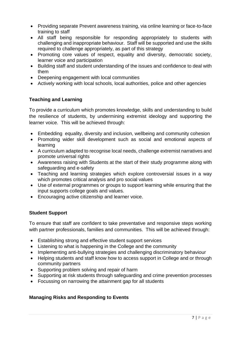- Providing separate Prevent awareness training, via online learning or face-to-face training to staff
- All staff being responsible for responding appropriately to students with challenging and inappropriate behaviour. Staff will be supported and use the skills required to challenge appropriately, as part of this strategy
- Promoting core values of respect, equality and diversity, democratic society, learner voice and participation
- Building staff and student understanding of the issues and confidence to deal with them
- Deepening engagement with local communities
- Actively working with local schools, local authorities, police and other agencies

## **Teaching and Learning**

To provide a curriculum which promotes knowledge, skills and understanding to build the resilience of students, by undermining extremist ideology and supporting the learner voice. This will be achieved through:

- Embedding equality, diversity and inclusion, wellbeing and community cohesion
- Promoting wider skill development such as social and emotional aspects of learning
- A curriculum adapted to recognise local needs, challenge extremist narratives and promote universal rights
- Awareness raising with Students at the start of their study programme along with safeguarding and e-safety
- Teaching and learning strategies which explore controversial issues in a way which promotes critical analysis and pro social values
- Use of external programmes or groups to support learning while ensuring that the input supports college goals and values.
- Encouraging active citizenship and learner voice.

## **Student Support**

To ensure that staff are confident to take preventative and responsive steps working with partner professionals, families and communities. This will be achieved through:

- Establishing strong and effective student support services
- Listening to what is happening in the College and the community
- Implementing anti-bullying strategies and challenging discriminatory behaviour
- Helping students and staff know how to access support in College and or through community partners
- Supporting problem solving and repair of harm
- Supporting at risk students through safeguarding and crime prevention processes
- Focussing on narrowing the attainment gap for all students

## **Managing Risks and Responding to Events**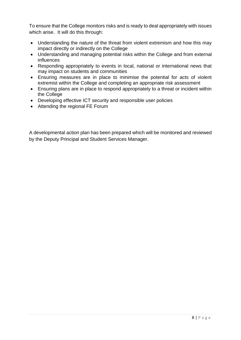To ensure that the College monitors risks and is ready to deal appropriately with issues which arise. It will do this through:

- Understanding the nature of the threat from violent extremism and how this may impact directly or indirectly on the College
- Understanding and managing potential risks within the College and from external influences
- Responding appropriately to events in local, national or international news that may impact on students and communities
- Ensuring measures are in place to minimise the potential for acts of violent extremist within the College and completing an appropriate risk assessment
- Ensuring plans are in place to respond appropriately to a threat or incident within the College
- Developing effective ICT security and responsible user policies
- Attending the regional FE Forum

A developmental action plan has been prepared which will be monitored and reviewed by the Deputy Principal and Student Services Manager.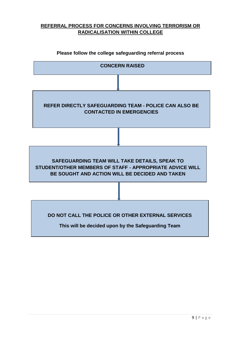## **REFERRAL PROCESS FOR CONCERNS INVOLVING TERRORISM OR RADICALISATION WITHIN COLLEGE**



#### **Please follow the college safeguarding referral process**